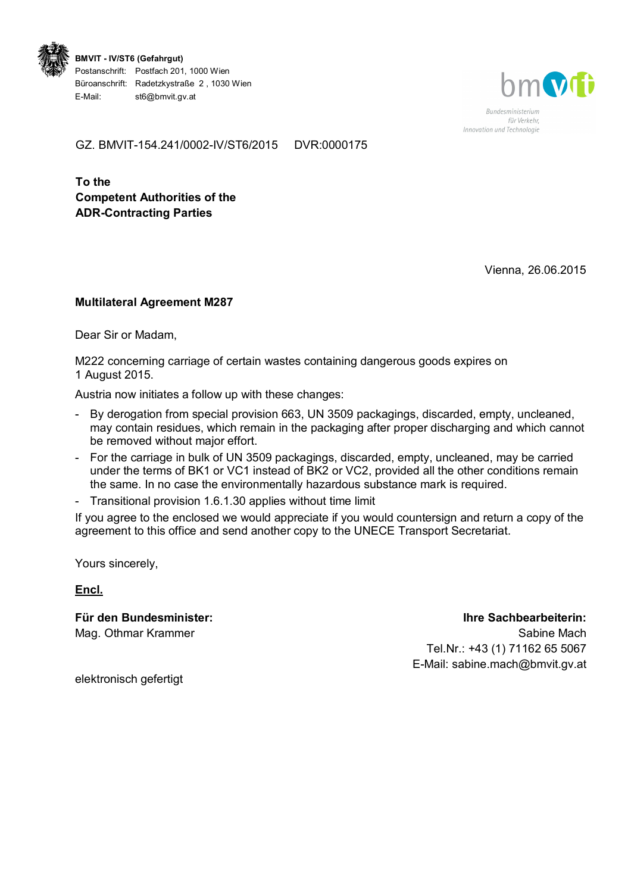

**BMVIT - IV/ST6 (Gefahrgut)**  Postanschrift: Postfach 201, 1000 Wien Büroanschrift: Radetzkystraße 2 , 1030 Wien E-Mail: st6@bmvit.gv.at



Bundesministerium für Verkehr Innovation und Technologie

GZ. BMVIT-154.241/0002-IV/ST6/2015 DVR:0000175

**To the Competent Authorities of the ADR-Contracting Parties** 

Vienna, 26.06.2015

## **Multilateral Agreement M287**

Dear Sir or Madam,

M222 concerning carriage of certain wastes containing dangerous goods expires on 1 August 2015.

Austria now initiates a follow up with these changes:

- By derogation from special provision 663, UN 3509 packagings, discarded, empty, uncleaned, may contain residues, which remain in the packaging after proper discharging and which cannot be removed without major effort.
- For the carriage in bulk of UN 3509 packagings, discarded, empty, uncleaned, may be carried under the terms of BK1 or VC1 instead of BK2 or VC2, provided all the other conditions remain the same. In no case the environmentally hazardous substance mark is required.
- Transitional provision 1.6.1.30 applies without time limit

If you agree to the enclosed we would appreciate if you would countersign and return a copy of the agreement to this office and send another copy to the UNECE Transport Secretariat.

Yours sincerely,

**Encl.**

**Für den Bundesminister:**  Mag. Othmar Krammer

## **Ihre Sachbearbeiterin:**

Sabine Mach Tel.Nr.: +43 (1) 71162 65 5067 E-Mail: sabine.mach@bmvit.gv.at

elektronisch gefertigt